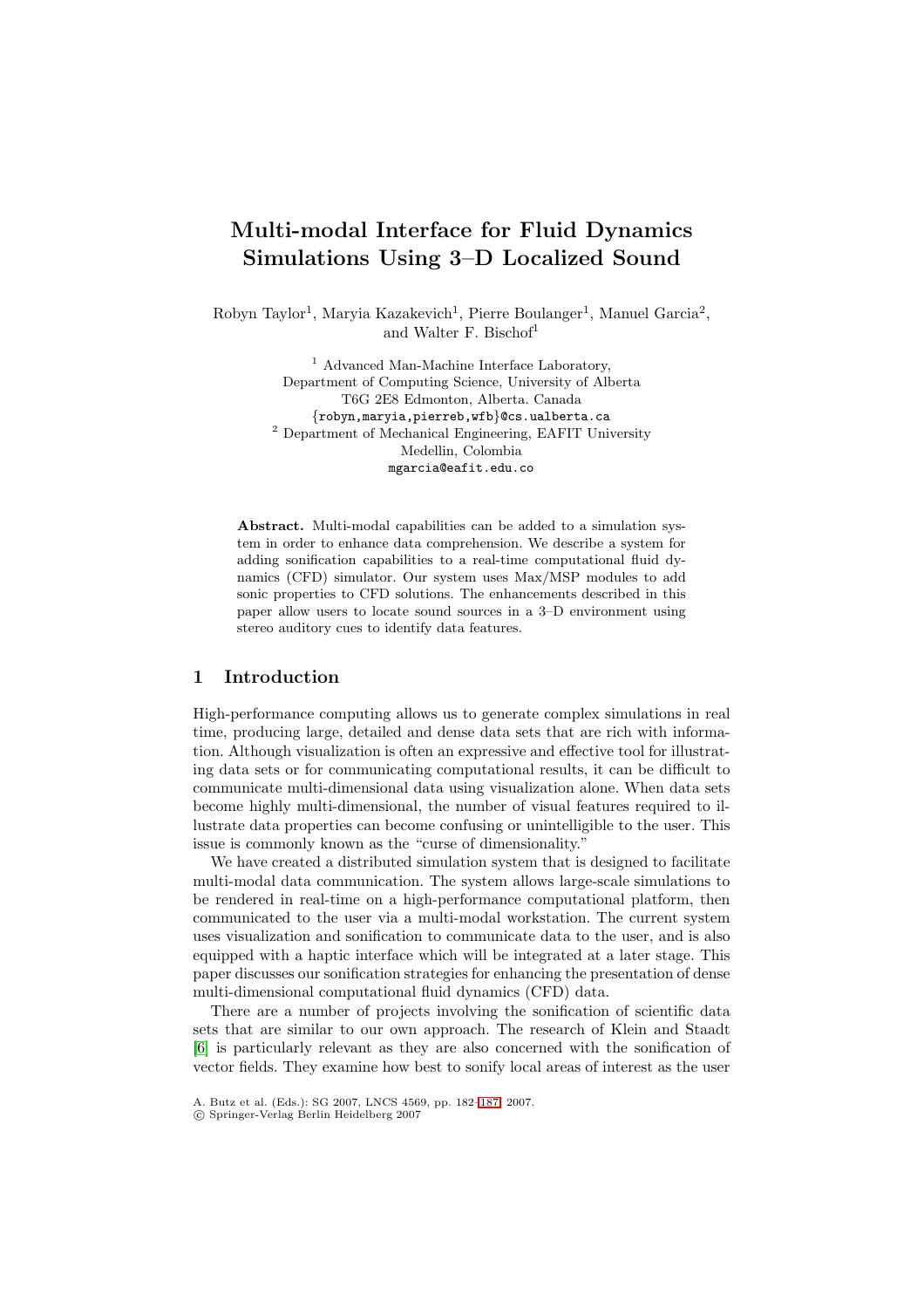# **Multi-modal Interface for Fluid Dynamics Simulations Using 3–D Localized Sound**

Robyn Taylor<sup>1</sup>, Maryia Kazakevich<sup>1</sup>, Pierre Boulanger<sup>1</sup>, Manuel Garcia<sup>2</sup>, and Walter F. Bischof<sup>1</sup>

> <sup>1</sup> Advanced Man-Machine Interface Laboratory, Department of Computing Science, University of Alberta T6G 2E8 Edmonton, Alberta. Canada {robyn,maryia,pierreb,wfb}@cs.ualberta.ca  $^2$  Department of Mechanical Engineering, EAFIT University Medellin, Colombia mgarcia@eafit.edu.co

**Abstract.** Multi-modal capabilities can be added to a simulation system in order to enhance data comprehension. We describe a system for adding sonification capabilities to a real-time computational fluid dynamics (CFD) simulator. Our system uses Max/MSP modules to add sonic properties to CFD solutions. The enhancements described in this paper allow users to locate sound sources in a 3–D environment using stereo auditory cues to identify data features.

# **1 Introduction**

High-performance computing allows us to generate complex simulations in real time, producing large, detailed and dense data sets that are rich with information. Although visualization is often an expressive and effective tool for illustrating data sets or for communicating computational results, it can be difficult to communicate multi-dimensional data using visualization alone. When data sets become highly multi-dimensional, the number of visual features required to illustrate data properties can become confusing or unintelligible to the user. This issue is commonly known as the "curse of dimensionality."

We have created a distributed simulation system that is designed to facilitate multi-modal data communication. The system allows large-scale simulations to be rendered in real-time on a high-performance computational platform, then communicated to the user via a multi-modal workstation. The current system uses visualization and sonification to communicate data to the user, and is also equipped with a haptic interface which will be integrated at a later stage. This paper discusses our sonification strategies for enhancing the presentation of dense multi-dimensional computational fluid dynamics (CFD) data.

There are a number of projects involving the sonification of scientific data sets that are similar to our own approach. The research of Klein and Staadt [6] is particularly relevant as they are also concerned with the sonification of vector fields. They examine how best to sonify local areas of interest as the user

A. Butz et al. (Eds.): SG 2007, LNCS 4569, pp. 182–187, 2007.

[<sup>-</sup>](#page-5-0)c Springer-Verlag Berlin Heidelberg 2007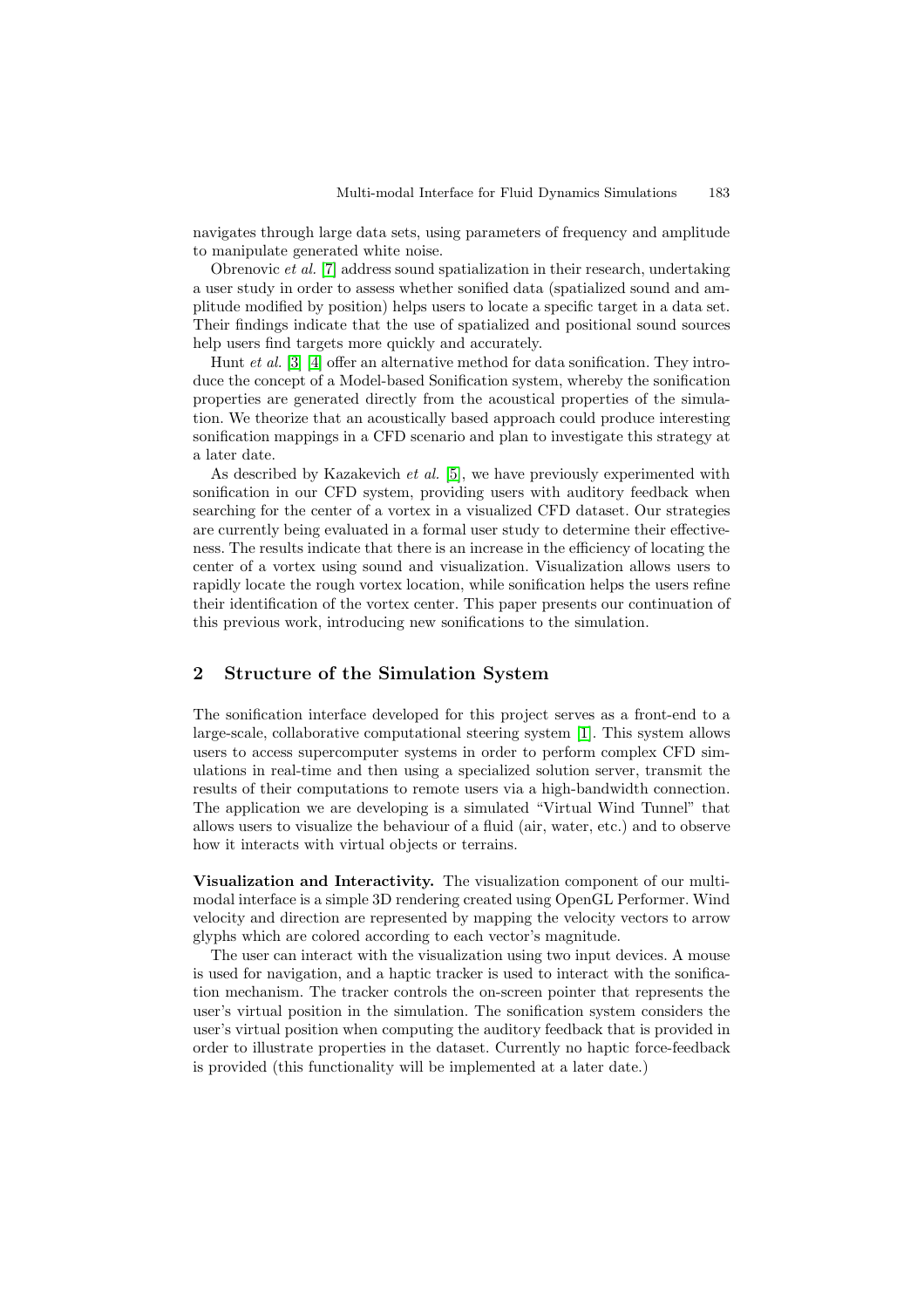navigates through large data sets, using parameters of frequency and amplitude to manipulate generated white noise.

Obrenovic et al. [7] address sound spatialization in their research, undertaking a user study in order to assess whether sonified data (spatialized sound and amplitude modified by position) helps users to locate a specific target in a data set. Their findings indicate that the use of spatialized and positional sound sources help users find tar[get](#page-5-1)s more quickly and accurately.

Hunt et al. [3] [4] offer an alternative method for data sonification. They introduce the concept of a Model-based Sonification system, whereby the sonification properties are generated directly from the acoustical properties of the simulation. We theorize that an acoustically based approach could produce interesting sonification m[ap](#page-5-2)[pin](#page-5-3)gs in a CFD scenario and plan to investigate this strategy at a later date.

As described by Kazakevich et al. [5], we have previously experimented with sonification in our CFD system, providing users with auditory feedback when searching for the center of a vortex in a visualized CFD dataset. Our strategies are currently being evaluated in a formal user study to determine their effectiveness. The results indicate that there is [an](#page-5-4) increase in the efficiency of locating the center of a vortex using sound and visualization. Visualization allows users to rapidly locate the rough vortex location, while sonification helps the users refine their identification of the vortex center. This paper presents our continuation of this previous work, introducing new sonifications to the simulation.

## **2 Structure of the Simulation System**

The sonification interface developed for this project serves as a front-end to a large-scale, collaborative computational steering system [1]. This system allows users to access supercomputer systems in order to perform complex CFD simulations in real-time and then using a specialized solution server, transmit the results of their computations to remote users via a high-bandwidth connection. The application we are developing is a simulated "Virt[ual](#page-5-5) Wind Tunnel" that allows users to visualize the behaviour of a fluid (air, water, etc.) and to observe how it interacts with virtual objects or terrains.

**Visualization and Interactivity.** The visualization component of our multimodal interface is a simple 3D rendering created using OpenGL Performer. Wind velocity and direction are represented by mapping the velocity vectors to arrow glyphs which are colored according to each vector's magnitude.

The user can interact with the visualization using two input devices. A mouse is used for navigation, and a haptic tracker is used to interact with the sonification mechanism. The tracker controls the on-screen pointer that represents the user's virtual position in the simulation. The sonification system considers the user's virtual position when computing the auditory feedback that is provided in order to illustrate properties in the dataset. Currently no haptic force-feedback is provided (this functionality will be implemented at a later date.)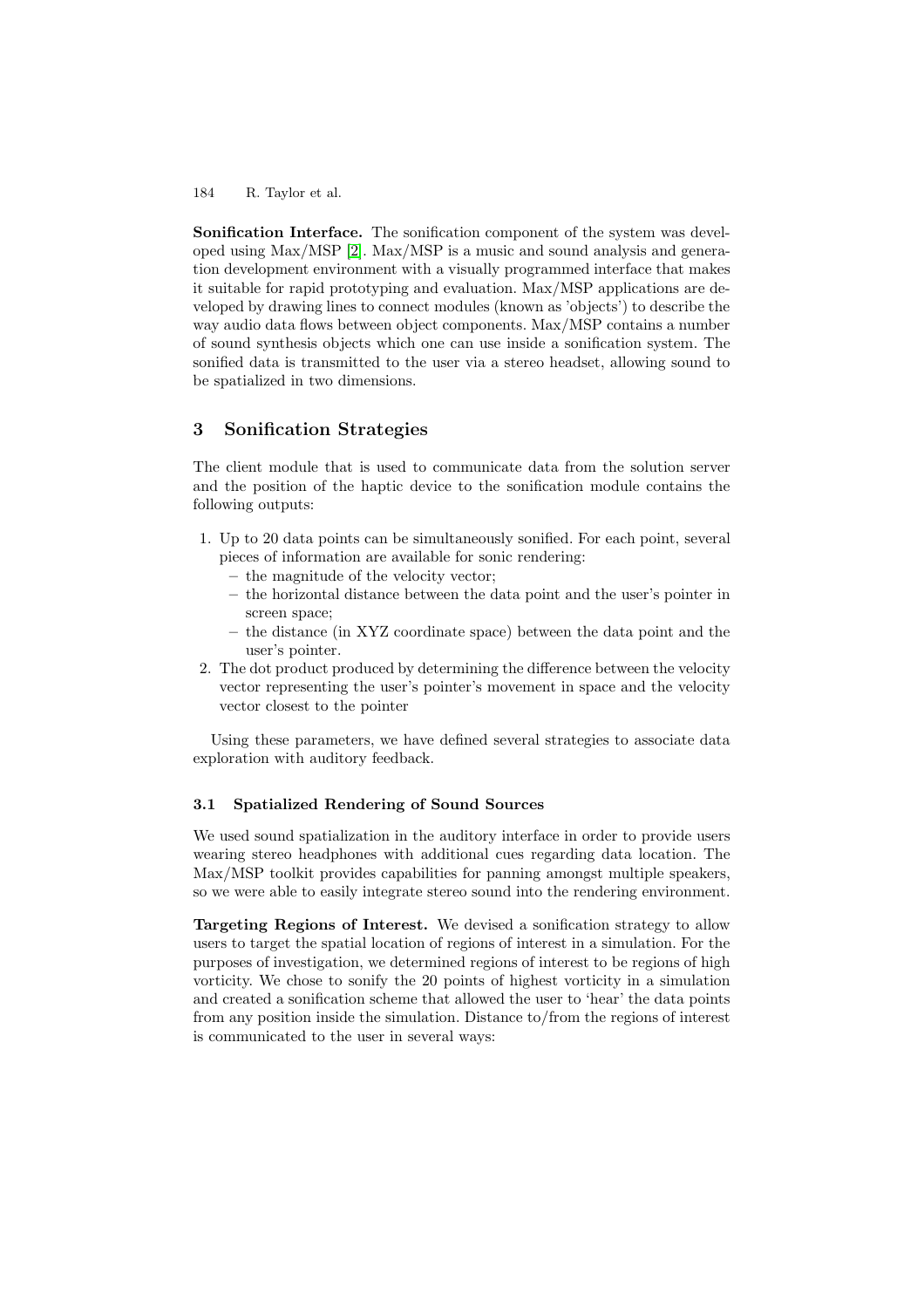184 R. Taylor et al.

Sonification Interface. The sonification component of the system was developed using Max/MSP [2]. Max/MSP is a music and sound analysis and generation development environment with a visually programmed interface that makes it suitable for rapid prototyping and evaluation. Max/MSP applications are developed by drawing lines to connect modules (known as 'objects') to describe the way audio data flows b[etw](#page-5-6)een object components. Max/MSP contains a number of sound synthesis objects which one can use inside a sonification system. The sonified data is transmitted to the user via a stereo headset, allowing sound to be spatialized in two dimensions.

# **3 Sonification Strategies**

The client module that is used to communicate data from the solution server and the position of the haptic device to the sonification module contains the following outputs:

- 1. Up to 20 data points can be simultaneously sonified. For each point, several pieces of information are available for sonic rendering:
	- **–** the magnitude of the velocity vector;
	- **–** the horizontal distance between the data point and the user's pointer in screen space;
	- **–** the distance (in XYZ coordinate space) between the data point and the user's pointer.
- 2. The dot product produced by determining the difference between the velocity vector representing the user's pointer's movement in space and the velocity vector closest to the pointer

Using these parameters, we have defined several strategies to associate data exploration with auditory feedback.

## **3.1 Spatialized Rendering of Sound Sources**

We used sound spatialization in the auditory interface in order to provide users wearing stereo headphones with additional cues regarding data location. The Max/MSP toolkit provides capabilities for panning amongst multiple speakers, so we were able to easily integrate stereo sound into the rendering environment.

**Targeting Regions of Interest.** We devised a sonification strategy to allow users to target the spatial location of regions of interest in a simulation. For the purposes of investigation, we determined regions of interest to be regions of high vorticity. We chose to sonify the 20 points of highest vorticity in a simulation and created a sonification scheme that allowed the user to 'hear' the data points from any position inside the simulation. Distance to/from the regions of interest is communicated to the user in several ways: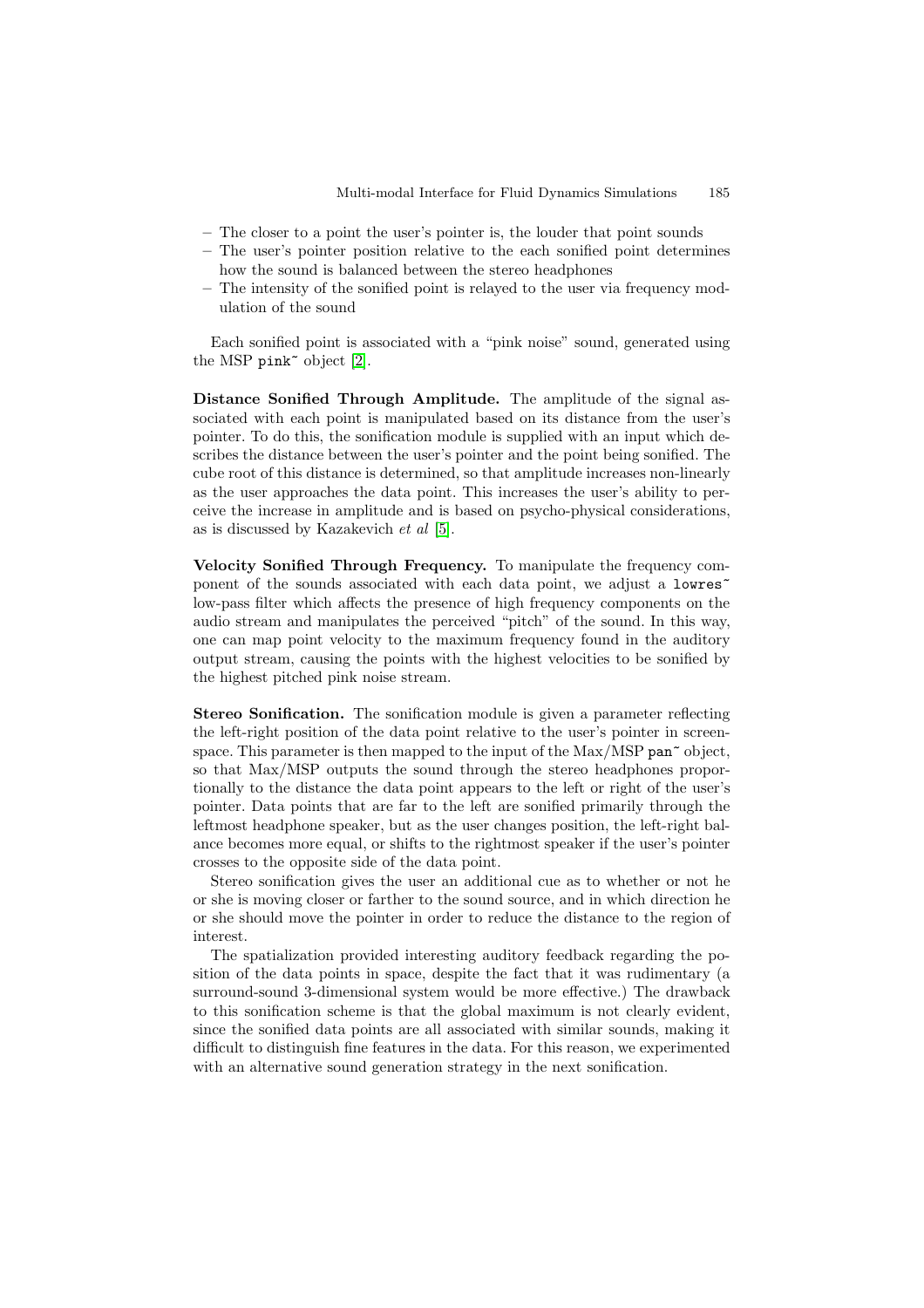- **–** The closer to a point the user's pointer is, the louder that point sounds
- **–** The user's pointer position relative to the each sonified point determines how the sound is balanced between the stereo headphones
- **–** The intensity of the sonified point is relayed to the user via frequency modulation of the sound

Each sonified point is associated with a "pink noise" sound, generated using the MSP pink<sup> $\sim$ </sup> object [2].

**Distance Sonified Through Amplitude.** The amplitude of the signal associated with each point is manipulated based on its distance from the user's pointer. To do this, the [so](#page-5-6)nification module is supplied with an input which describes the distance between the user's pointer and the point being sonified. The cube root of this distance is determined, so that amplitude increases non-linearly as the user approaches the data point. This increases the user's ability to perceive the increase in amplitude and is based on psycho-physical considerations, as is discussed by Kazakevich et al [5].

**Velocity Sonified Through Frequency.** To manipulate the frequency component of the sounds associated with each data point, we adjust a lowres<sup>\*</sup> low-pass filter which affects the pre[sen](#page-5-4)ce of high frequency components on the audio stream and manipulates the perceived "pitch" of the sound. In this way, one can map point velocity to the maximum frequency found in the auditory output stream, causing the points with the highest velocities to be sonified by the highest pitched pink noise stream.

**Stereo Sonification.** The sonification module is given a parameter reflecting the left-right position of the data point relative to the user's pointer in screenspace. This parameter is then mapped to the input of the Max/MSP pan<sup> $\sim$ </sup> object, so that Max/MSP outputs the sound through the stereo headphones proportionally to the distance the data point appears to the left or right of the user's pointer. Data points that are far to the left are sonified primarily through the leftmost headphone speaker, but as the user changes position, the left-right balance becomes more equal, or shifts to the rightmost speaker if the user's pointer crosses to the opposite side of the data point.

Stereo sonification gives the user an additional cue as to whether or not he or she is moving closer or farther to the sound source, and in which direction he or she should move the pointer in order to reduce the distance to the region of interest.

The spatialization provided interesting auditory feedback regarding the position of the data points in space, despite the fact that it was rudimentary (a surround-sound 3-dimensional system would be more effective.) The drawback to this sonification scheme is that the global maximum is not clearly evident, since the sonified data points are all associated with similar sounds, making it difficult to distinguish fine features in the data. For this reason, we experimented with an alternative sound generation strategy in the next sonification.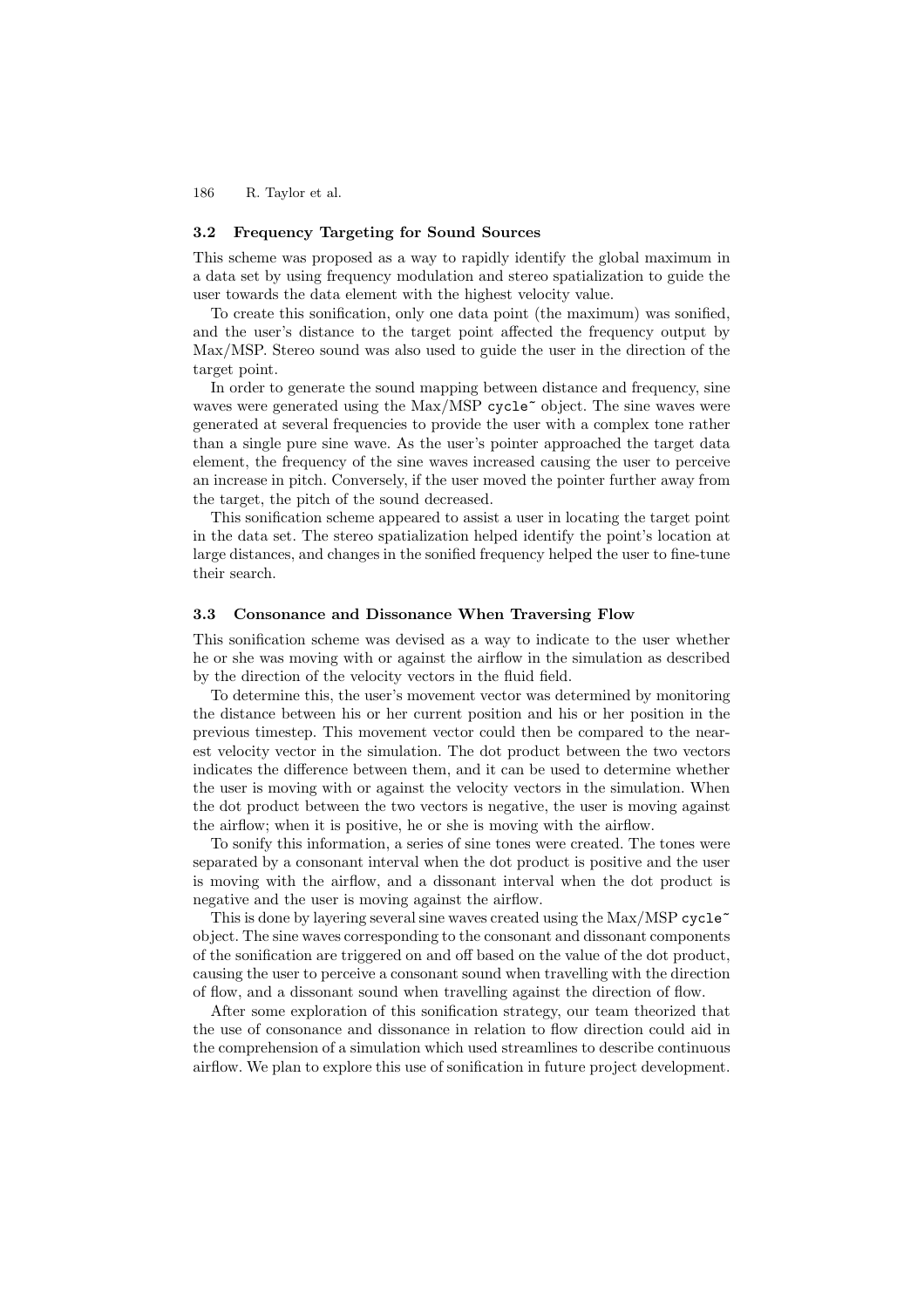186 R. Taylor et al.

#### **3.2 Frequency Targeting for Sound Sources**

This scheme was proposed as a way to rapidly identify the global maximum in a data set by using frequency modulation and stereo spatialization to guide the user towards the data element with the highest velocity value.

To create this sonification, only one data point (the maximum) was sonified, and the user's distance to the target point affected the frequency output by Max/MSP. Stereo sound was also used to guide the user in the direction of the target point.

In order to generate the sound mapping between distance and frequency, sine waves were generated using the Max/MSP cycle<sup> $\sim$ </sup> object. The sine waves were generated at several frequencies to provide the user with a complex tone rather than a single pure sine wave. As the user's pointer approached the target data element, the frequency of the sine waves increased causing the user to perceive an increase in pitch. Conversely, if the user moved the pointer further away from the target, the pitch of the sound decreased.

This sonification scheme appeared to assist a user in locating the target point in the data set. The stereo spatialization helped identify the point's location at large distances, and changes in the sonified frequency helped the user to fine-tune their search.

#### **3.3 Consonance and Dissonance When Traversing Flow**

This sonification scheme was devised as a way to indicate to the user whether he or she was moving with or against the airflow in the simulation as described by the direction of the velocity vectors in the fluid field.

To determine this, the user's movement vector was determined by monitoring the distance between his or her current position and his or her position in the previous timestep. This movement vector could then be compared to the nearest velocity vector in the simulation. The dot product between the two vectors indicates the difference between them, and it can be used to determine whether the user is moving with or against the velocity vectors in the simulation. When the dot product between the two vectors is negative, the user is moving against the airflow; when it is positive, he or she is moving with the airflow.

To sonify this information, a series of sine tones were created. The tones were separated by a consonant interval when the dot product is positive and the user is moving with the airflow, and a dissonant interval when the dot product is negative and the user is moving against the airflow.

This is done by layering several sine waves created using the Max/MSP cycle<sup> $\sim$ </sup> object. The sine waves corresponding to the consonant and dissonant components of the sonification are triggered on and off based on the value of the dot product, causing the user to perceive a consonant sound when travelling with the direction of flow, and a dissonant sound when travelling against the direction of flow.

After some exploration of this sonification strategy, our team theorized that the use of consonance and dissonance in relation to flow direction could aid in the comprehension of a simulation which used streamlines to describe continuous airflow. We plan to explore this use of sonification in future project development.